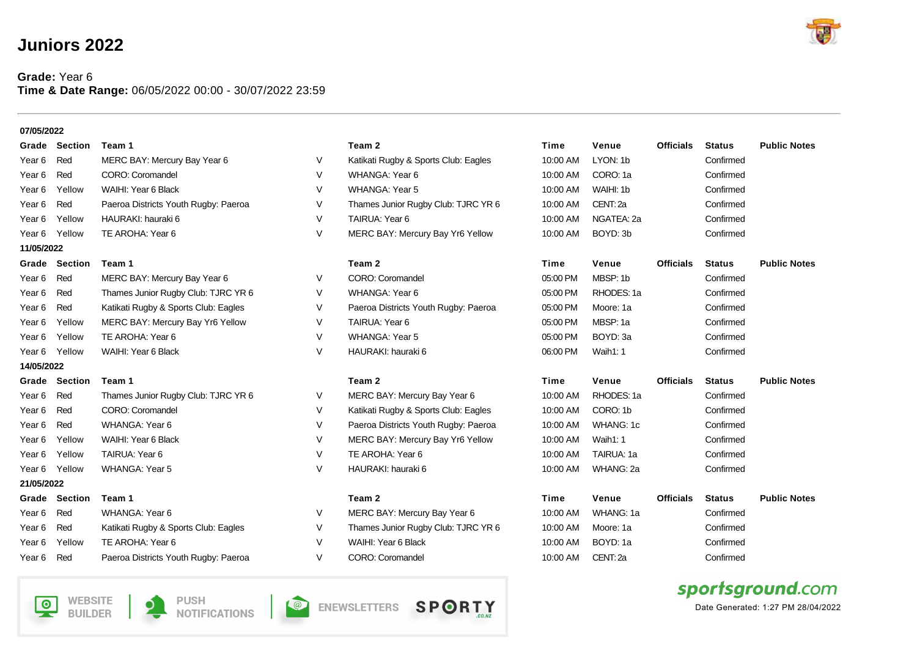## **Juniors 2022**

**WEBSITE** 

**BUILDER** 

回

**PUSH** 

**NOTIFICATIONS** 

 $\bullet$ 

## **Grade:** Year 6 **Time & Date Range:** 06/05/2022 00:00 - 30/07/2022 23:59

| 07/05/2022        |                      |                                      |        |                                      |          |            |                  |               |                     |
|-------------------|----------------------|--------------------------------------|--------|--------------------------------------|----------|------------|------------------|---------------|---------------------|
|                   | <b>Grade Section</b> | Team 1                               |        | Team 2                               | Time     | Venue      | <b>Officials</b> | <b>Status</b> | <b>Public Notes</b> |
| Year 6            | Red                  | MERC BAY: Mercury Bay Year 6         | V      | Katikati Rugby & Sports Club: Eagles | 10:00 AM | LYON: 1b   |                  | Confirmed     |                     |
| Year 6            | Red                  | CORO: Coromandel                     | V      | WHANGA: Year 6                       | 10:00 AM | CORO: 1a   |                  | Confirmed     |                     |
| Year 6            | Yellow               | WAIHI: Year 6 Black                  | V      | <b>WHANGA: Year 5</b>                | 10:00 AM | WAIHI: 1b  |                  | Confirmed     |                     |
| Year 6            | Red                  | Paeroa Districts Youth Rugby: Paeroa | V      | Thames Junior Rugby Club: TJRC YR 6  | 10:00 AM | CENT: 2a   |                  | Confirmed     |                     |
| Year 6            | Yellow               | HAURAKI: hauraki 6                   | V      | TAIRUA: Year 6                       | 10:00 AM | NGATEA: 2a |                  | Confirmed     |                     |
| Year <sub>6</sub> | Yellow               | TE AROHA: Year 6                     | $\vee$ | MERC BAY: Mercury Bay Yr6 Yellow     | 10:00 AM | BOYD: 3b   |                  | Confirmed     |                     |
| 11/05/2022        |                      |                                      |        |                                      |          |            |                  |               |                     |
|                   | <b>Grade Section</b> | Team 1                               |        | Team 2                               | Time     | Venue      | <b>Officials</b> | <b>Status</b> | <b>Public Notes</b> |
| Year 6            | Red                  | MERC BAY: Mercury Bay Year 6         | V      | CORO: Coromandel                     | 05:00 PM | MBSP: 1b   |                  | Confirmed     |                     |
| Year <sub>6</sub> | Red                  | Thames Junior Rugby Club: TJRC YR 6  | V      | WHANGA: Year 6                       | 05:00 PM | RHODES: 1a |                  | Confirmed     |                     |
| Year <sub>6</sub> | Red                  | Katikati Rugby & Sports Club: Eagles | V      | Paeroa Districts Youth Rugby: Paeroa | 05:00 PM | Moore: 1a  |                  | Confirmed     |                     |
| Year 6            | Yellow               | MERC BAY: Mercury Bay Yr6 Yellow     | V      | TAIRUA: Year 6                       | 05:00 PM | MBSP: 1a   |                  | Confirmed     |                     |
| Year 6            | Yellow               | TE AROHA: Year 6                     | V      | <b>WHANGA: Year 5</b>                | 05:00 PM | BOYD: 3a   |                  | Confirmed     |                     |
| Year 6            | Yellow               | WAIHI: Year 6 Black                  | V      | HAURAKI: hauraki 6                   | 06:00 PM | Waih1: 1   |                  | Confirmed     |                     |
| 14/05/2022        |                      |                                      |        |                                      |          |            |                  |               |                     |
| Grade             | <b>Section</b>       | Team 1                               |        | Team 2                               | Time     | Venue      | <b>Officials</b> | <b>Status</b> | <b>Public Notes</b> |
| Year 6            | Red                  | Thames Junior Rugby Club: TJRC YR 6  | V      | MERC BAY: Mercury Bay Year 6         | 10:00 AM | RHODES: 1a |                  | Confirmed     |                     |
| Year 6            | Red                  | CORO: Coromandel                     | V      | Katikati Rugby & Sports Club: Eagles | 10:00 AM | CORO: 1b   |                  | Confirmed     |                     |
| Year 6            | Red                  | WHANGA: Year 6                       | V      | Paeroa Districts Youth Rugby: Paeroa | 10:00 AM | WHANG: 1c  |                  | Confirmed     |                     |
| Year 6            | Yellow               | WAIHI: Year 6 Black                  | V      | MERC BAY: Mercury Bay Yr6 Yellow     | 10:00 AM | Waih1: 1   |                  | Confirmed     |                     |
| Year 6            | Yellow               | TAIRUA: Year 6                       | V      | TE AROHA: Year 6                     | 10:00 AM | TAIRUA: 1a |                  | Confirmed     |                     |
| Year 6            | Yellow               | <b>WHANGA: Year 5</b>                | $\vee$ | HAURAKI: hauraki 6                   | 10:00 AM | WHANG: 2a  |                  | Confirmed     |                     |
| 21/05/2022        |                      |                                      |        |                                      |          |            |                  |               |                     |
|                   | <b>Grade Section</b> | Team 1                               |        | Team 2                               | Time     | Venue      | <b>Officials</b> | <b>Status</b> | <b>Public Notes</b> |
| Year 6            | Red                  | WHANGA: Year 6                       | V      | MERC BAY: Mercury Bay Year 6         | 10:00 AM | WHANG: 1a  |                  | Confirmed     |                     |
| Year 6            | Red                  | Katikati Rugby & Sports Club: Eagles | V      | Thames Junior Rugby Club: TJRC YR 6  | 10:00 AM | Moore: 1a  |                  | Confirmed     |                     |
| Year 6            | Yellow               | TE AROHA: Year 6                     | V      | WAIHI: Year 6 Black                  | 10:00 AM | BOYD: 1a   |                  | Confirmed     |                     |
| Year 6            | Red                  | Paeroa Districts Youth Rugby: Paeroa | V      | CORO: Coromandel                     | 10:00 AM | CENT: 2a   |                  | Confirmed     |                     |
|                   |                      |                                      |        |                                      |          |            |                  |               | sportsground.com    |

**O ENEWSLETTERS SPORTY** 



Date Generated: 1:27 PM 28/04/2022